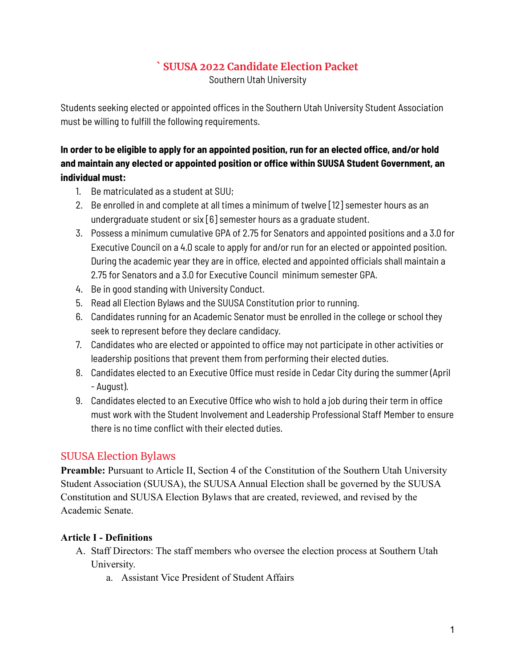# **` SUUSA 2022 Candidate Election Packet**

Southern Utah University

Students seeking elected or appointed offices in the Southern Utah University Student Association must be willing to fulfill the following requirements.

# **In order to be eligible to apply for an appointed position, run for an elected office, and/or hold and maintain any elected or appointed position or office within SUUSA Student Government, an individual must:**

- 1. Be matriculated as a student at SUU;
- 2. Be enrolled in and complete at all times a minimum of twelve [12] semester hours as an undergraduate student or six [6] semester hours as a graduate student.
- 3. Possess a minimum cumulative GPA of 2.75 for Senators and appointed positions and a 3.0 for Executive Council on a 4.0 scale to apply for and/or run for an elected or appointed position. During the academic year they are in office, elected and appointed officials shall maintain a 2.75 for Senators and a 3.0 for Executive Council minimum semester GPA.
- 4. Be in good standing with University Conduct.
- 5. Read all Election Bylaws and the SUUSA Constitution prior to running.
- 6. Candidates running for an Academic Senator must be enrolled in the college or school they seek to represent before they declare candidacy.
- 7. Candidates who are elected or appointed to office may not participate in other activities or leadership positions that prevent them from performing their elected duties.
- 8. Candidates elected to an Executive Office must reside in Cedar City during the summer (April - August).
- 9. Candidates elected to an Executive Office who wish to hold a job during their term in office must work with the Student Involvement and Leadership Professional Staff Member to ensure there is no time conflict with their elected duties.

# SUUSA Election Bylaws

**Preamble:** Pursuant to Article II, Section 4 of the Constitution of the Southern Utah University Student Association (SUUSA), the SUUSA Annual Election shall be governed by the SUUSA Constitution and SUUSA Election Bylaws that are created, reviewed, and revised by the Academic Senate.

## **Article I - Definitions**

- A. Staff Directors: The staff members who oversee the election process at Southern Utah University.
	- a. Assistant Vice President of Student Affairs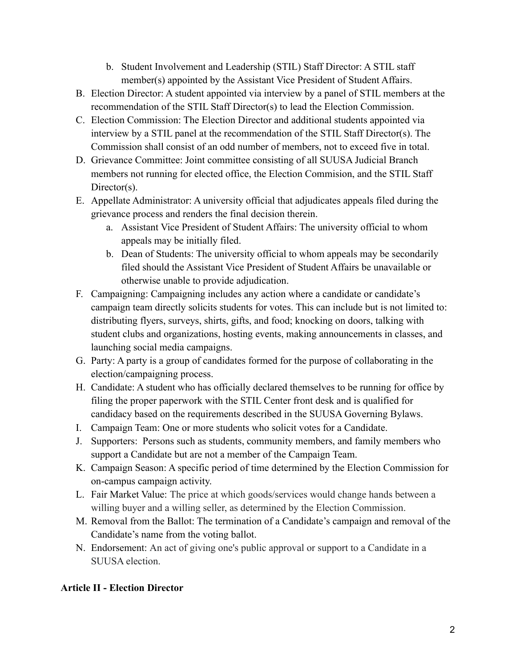- b. Student Involvement and Leadership (STIL) Staff Director: A STIL staff member(s) appointed by the Assistant Vice President of Student Affairs.
- B. Election Director: A student appointed via interview by a panel of STIL members at the recommendation of the STIL Staff Director(s) to lead the Election Commission.
- C. Election Commission: The Election Director and additional students appointed via interview by a STIL panel at the recommendation of the STIL Staff Director(s). The Commission shall consist of an odd number of members, not to exceed five in total.
- D. Grievance Committee: Joint committee consisting of all SUUSA Judicial Branch members not running for elected office, the Election Commision, and the STIL Staff Director(s).
- E. Appellate Administrator: A university official that adjudicates appeals filed during the grievance process and renders the final decision therein.
	- a. Assistant Vice President of Student Affairs: The university official to whom appeals may be initially filed.
	- b. Dean of Students: The university official to whom appeals may be secondarily filed should the Assistant Vice President of Student Affairs be unavailable or otherwise unable to provide adjudication.
- F. Campaigning: Campaigning includes any action where a candidate or candidate's campaign team directly solicits students for votes. This can include but is not limited to: distributing flyers, surveys, shirts, gifts, and food; knocking on doors, talking with student clubs and organizations, hosting events, making announcements in classes, and launching social media campaigns.
- G. Party: A party is a group of candidates formed for the purpose of collaborating in the election/campaigning process.
- H. Candidate: A student who has officially declared themselves to be running for office by filing the proper paperwork with the STIL Center front desk and is qualified for candidacy based on the requirements described in the SUUSA Governing Bylaws.
- I. Campaign Team: One or more students who solicit votes for a Candidate.
- J. Supporters: Persons such as students, community members, and family members who support a Candidate but are not a member of the Campaign Team.
- K. Campaign Season: A specific period of time determined by the Election Commission for on-campus campaign activity.
- L. Fair Market Value: The price at which goods/services would change hands between a willing buyer and a willing seller, as determined by the Election Commission.
- M. Removal from the Ballot: The termination of a Candidate's campaign and removal of the Candidate's name from the voting ballot.
- N. Endorsement: An act of giving one's public approval or support to a Candidate in a SUUSA election.

## **Article II - Election Director**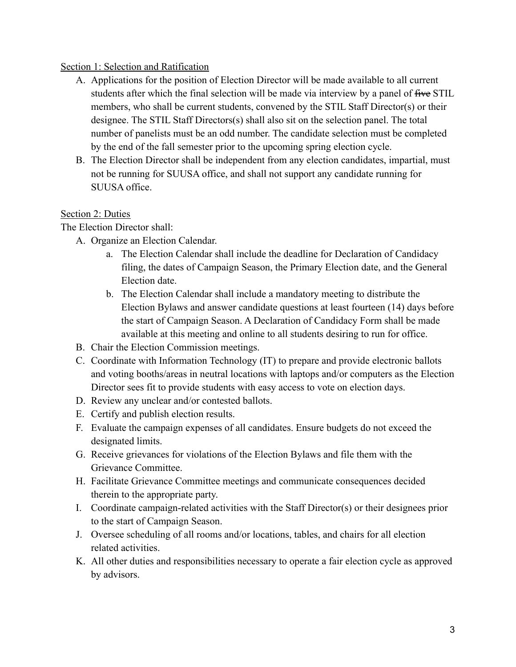#### Section 1: Selection and Ratification

- A. Applications for the position of Election Director will be made available to all current students after which the final selection will be made via interview by a panel of five STIL members, who shall be current students, convened by the STIL Staff Director(s) or their designee. The STIL Staff Directors(s) shall also sit on the selection panel. The total number of panelists must be an odd number. The candidate selection must be completed by the end of the fall semester prior to the upcoming spring election cycle.
- B. The Election Director shall be independent from any election candidates, impartial, must not be running for SUUSA office, and shall not support any candidate running for SUUSA office.

#### Section 2: Duties

The Election Director shall:

- A. Organize an Election Calendar.
	- a. The Election Calendar shall include the deadline for Declaration of Candidacy filing, the dates of Campaign Season, the Primary Election date, and the General Election date.
	- b. The Election Calendar shall include a mandatory meeting to distribute the Election Bylaws and answer candidate questions at least fourteen (14) days before the start of Campaign Season. A Declaration of Candidacy Form shall be made available at this meeting and online to all students desiring to run for office.
- B. Chair the Election Commission meetings.
- C. Coordinate with Information Technology (IT) to prepare and provide electronic ballots and voting booths/areas in neutral locations with laptops and/or computers as the Election Director sees fit to provide students with easy access to vote on election days.
- D. Review any unclear and/or contested ballots.
- E. Certify and publish election results.
- F. Evaluate the campaign expenses of all candidates. Ensure budgets do not exceed the designated limits.
- G. Receive grievances for violations of the Election Bylaws and file them with the Grievance Committee.
- H. Facilitate Grievance Committee meetings and communicate consequences decided therein to the appropriate party.
- I. Coordinate campaign-related activities with the Staff Director(s) or their designees prior to the start of Campaign Season.
- J. Oversee scheduling of all rooms and/or locations, tables, and chairs for all election related activities.
- K. All other duties and responsibilities necessary to operate a fair election cycle as approved by advisors.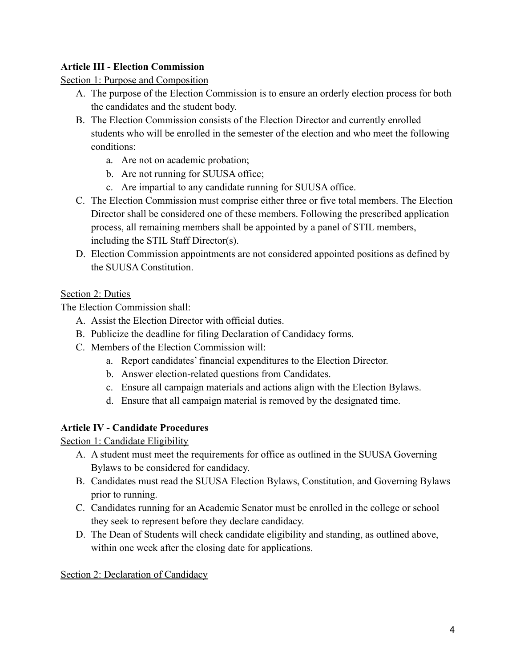## **Article III - Election Commission**

#### Section 1: Purpose and Composition

- A. The purpose of the Election Commission is to ensure an orderly election process for both the candidates and the student body.
- B. The Election Commission consists of the Election Director and currently enrolled students who will be enrolled in the semester of the election and who meet the following conditions:
	- a. Are not on academic probation;
	- b. Are not running for SUUSA office;
	- c. Are impartial to any candidate running for SUUSA office.
- C. The Election Commission must comprise either three or five total members. The Election Director shall be considered one of these members. Following the prescribed application process, all remaining members shall be appointed by a panel of STIL members, including the STIL Staff Director(s).
- D. Election Commission appointments are not considered appointed positions as defined by the SUUSA Constitution.

#### Section 2: Duties

The Election Commission shall:

- A. Assist the Election Director with official duties.
- B. Publicize the deadline for filing Declaration of Candidacy forms.
- C. Members of the Election Commission will:
	- a. Report candidates' financial expenditures to the Election Director.
	- b. Answer election-related questions from Candidates.
	- c. Ensure all campaign materials and actions align with the Election Bylaws.
	- d. Ensure that all campaign material is removed by the designated time.

## **Article IV - Candidate Procedures**

Section 1: Candidate Eligibility

- A. A student must meet the requirements for office as outlined in the SUUSA Governing Bylaws to be considered for candidacy.
- B. Candidates must read the SUUSA Election Bylaws, Constitution, and Governing Bylaws prior to running.
- C. Candidates running for an Academic Senator must be enrolled in the college or school they seek to represent before they declare candidacy.
- D. The Dean of Students will check candidate eligibility and standing, as outlined above, within one week after the closing date for applications.

#### Section 2: Declaration of Candidacy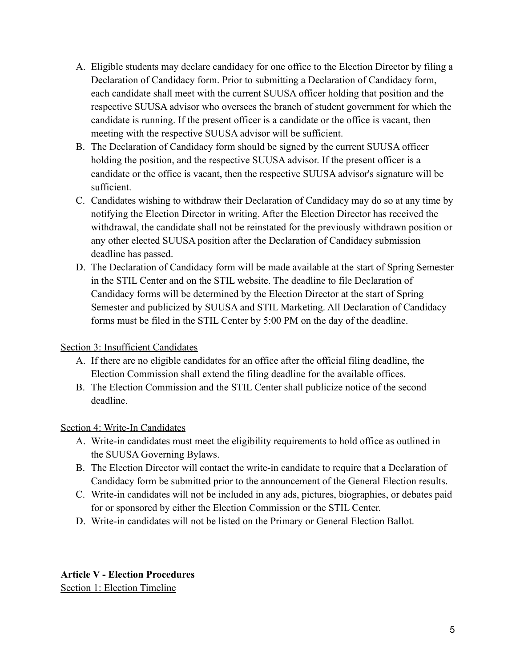- A. Eligible students may declare candidacy for one office to the Election Director by filing a Declaration of Candidacy form. Prior to submitting a Declaration of Candidacy form, each candidate shall meet with the current SUUSA officer holding that position and the respective SUUSA advisor who oversees the branch of student government for which the candidate is running. If the present officer is a candidate or the office is vacant, then meeting with the respective SUUSA advisor will be sufficient.
- B. The Declaration of Candidacy form should be signed by the current SUUSA officer holding the position, and the respective SUUSA advisor. If the present officer is a candidate or the office is vacant, then the respective SUUSA advisor's signature will be sufficient.
- C. Candidates wishing to withdraw their Declaration of Candidacy may do so at any time by notifying the Election Director in writing. After the Election Director has received the withdrawal, the candidate shall not be reinstated for the previously withdrawn position or any other elected SUUSA position after the Declaration of Candidacy submission deadline has passed.
- D. The Declaration of Candidacy form will be made available at the start of Spring Semester in the STIL Center and on the STIL website. The deadline to file Declaration of Candidacy forms will be determined by the Election Director at the start of Spring Semester and publicized by SUUSA and STIL Marketing. All Declaration of Candidacy forms must be filed in the STIL Center by 5:00 PM on the day of the deadline.

## Section 3: Insufficient Candidates

- A. If there are no eligible candidates for an office after the official filing deadline, the Election Commission shall extend the filing deadline for the available offices.
- B. The Election Commission and the STIL Center shall publicize notice of the second deadline.

## Section 4: Write-In Candidates

- A. Write-in candidates must meet the eligibility requirements to hold office as outlined in the SUUSA Governing Bylaws.
- B. The Election Director will contact the write-in candidate to require that a Declaration of Candidacy form be submitted prior to the announcement of the General Election results.
- C. Write-in candidates will not be included in any ads, pictures, biographies, or debates paid for or sponsored by either the Election Commission or the STIL Center.
- D. Write-in candidates will not be listed on the Primary or General Election Ballot.

#### **Article V - Election Procedures** Section 1: Election Timeline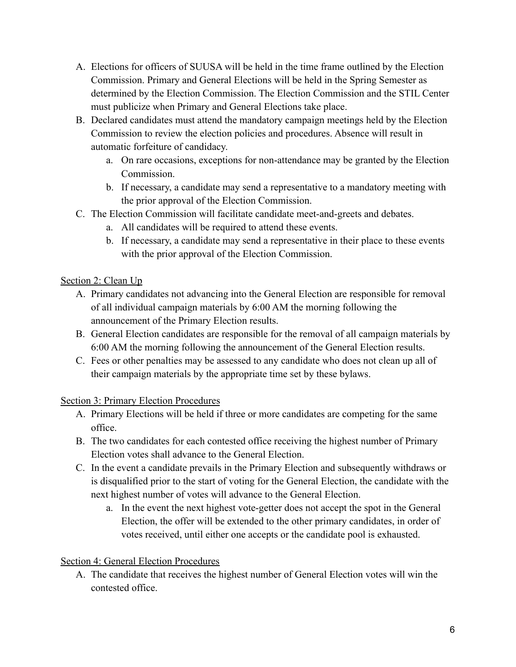- A. Elections for officers of SUUSA will be held in the time frame outlined by the Election Commission. Primary and General Elections will be held in the Spring Semester as determined by the Election Commission. The Election Commission and the STIL Center must publicize when Primary and General Elections take place.
- B. Declared candidates must attend the mandatory campaign meetings held by the Election Commission to review the election policies and procedures. Absence will result in automatic forfeiture of candidacy.
	- a. On rare occasions, exceptions for non-attendance may be granted by the Election Commission.
	- b. If necessary, a candidate may send a representative to a mandatory meeting with the prior approval of the Election Commission.
- C. The Election Commission will facilitate candidate meet-and-greets and debates.
	- a. All candidates will be required to attend these events.
	- b. If necessary, a candidate may send a representative in their place to these events with the prior approval of the Election Commission.

## Section 2: Clean Up

- A. Primary candidates not advancing into the General Election are responsible for removal of all individual campaign materials by 6:00 AM the morning following the announcement of the Primary Election results.
- B. General Election candidates are responsible for the removal of all campaign materials by 6:00 AM the morning following the announcement of the General Election results.
- C. Fees or other penalties may be assessed to any candidate who does not clean up all of their campaign materials by the appropriate time set by these bylaws.

# Section 3: Primary Election Procedures

- A. Primary Elections will be held if three or more candidates are competing for the same office.
- B. The two candidates for each contested office receiving the highest number of Primary Election votes shall advance to the General Election.
- C. In the event a candidate prevails in the Primary Election and subsequently withdraws or is disqualified prior to the start of voting for the General Election, the candidate with the next highest number of votes will advance to the General Election.
	- a. In the event the next highest vote-getter does not accept the spot in the General Election, the offer will be extended to the other primary candidates, in order of votes received, until either one accepts or the candidate pool is exhausted.

# Section 4: General Election Procedures

A. The candidate that receives the highest number of General Election votes will win the contested office.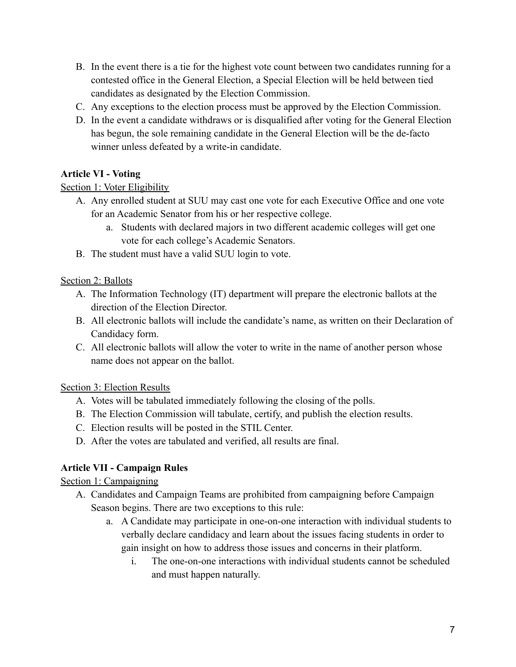- B. In the event there is a tie for the highest vote count between two candidates running for a contested office in the General Election, a Special Election will be held between tied candidates as designated by the Election Commission.
- C. Any exceptions to the election process must be approved by the Election Commission.
- D. In the event a candidate withdraws or is disqualified after voting for the General Election has begun, the sole remaining candidate in the General Election will be the de-facto winner unless defeated by a write-in candidate.

#### **Article VI - Voting**

#### Section 1: Voter Eligibility

- A. Any enrolled student at SUU may cast one vote for each Executive Office and one vote for an Academic Senator from his or her respective college.
	- a. Students with declared majors in two different academic colleges will get one vote for each college's Academic Senators.
- B. The student must have a valid SUU login to vote.

#### Section 2: Ballots

- A. The Information Technology (IT) department will prepare the electronic ballots at the direction of the Election Director.
- B. All electronic ballots will include the candidate's name, as written on their Declaration of Candidacy form.
- C. All electronic ballots will allow the voter to write in the name of another person whose name does not appear on the ballot.

## Section 3: Election Results

- A. Votes will be tabulated immediately following the closing of the polls.
- B. The Election Commission will tabulate, certify, and publish the election results.
- C. Election results will be posted in the STIL Center.
- D. After the votes are tabulated and verified, all results are final.

## **Article VII - Campaign Rules**

## Section 1: Campaigning

- A. Candidates and Campaign Teams are prohibited from campaigning before Campaign Season begins. There are two exceptions to this rule:
	- a. A Candidate may participate in one-on-one interaction with individual students to verbally declare candidacy and learn about the issues facing students in order to gain insight on how to address those issues and concerns in their platform.
		- i. The one-on-one interactions with individual students cannot be scheduled and must happen naturally.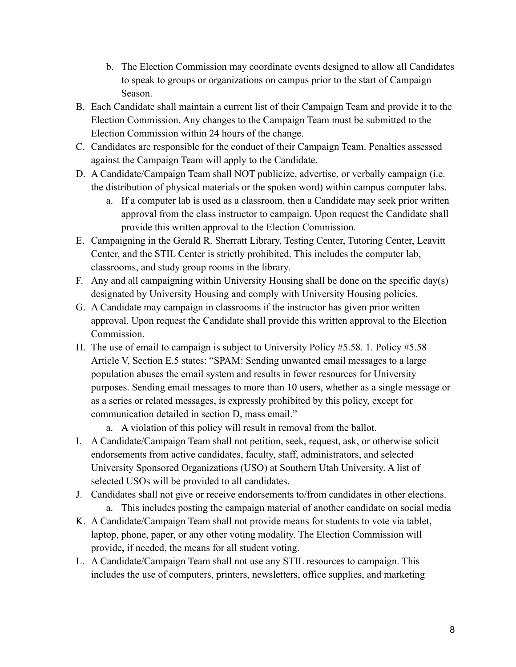- b. The Election Commission may coordinate events designed to allow all Candidates to speak to groups or organizations on campus prior to the start of Campaign Season.
- B. Each Candidate shall maintain a current list of their Campaign Team and provide it to the Election Commission. Any changes to the Campaign Team must be submitted to the Election Commission within 24 hours of the change.
- C. Candidates are responsible for the conduct of their Campaign Team. Penalties assessed against the Campaign Team will apply to the Candidate.
- D. A Candidate/Campaign Team shall NOT publicize, advertise, or verbally campaign (i.e. the distribution of physical materials or the spoken word) within campus computer labs.
	- a. If a computer lab is used as a classroom, then a Candidate may seek prior written approval from the class instructor to campaign. Upon request the Candidate shall provide this written approval to the Election Commission.
- E. Campaigning in the Gerald R. Sherratt Library, Testing Center, Tutoring Center, Leavitt Center, and the STIL Center is strictly prohibited. This includes the computer lab, classrooms, and study group rooms in the library.
- F. Any and all campaigning within University Housing shall be done on the specific day(s) designated by University Housing and comply with University Housing policies.
- G. A Candidate may campaign in classrooms if the instructor has given prior written approval. Upon request the Candidate shall provide this written approval to the Election Commission.
- H. The use of email to campaign is subject to University Policy #5.58. 1. Policy #5.58 Article V, Section E.5 states: "SPAM: Sending unwanted email messages to a large population abuses the email system and results in fewer resources for University purposes. Sending email messages to more than 10 users, whether as a single message or as a series or related messages, is expressly prohibited by this policy, except for communication detailed in section D, mass email."
	- a. A violation of this policy will result in removal from the ballot.
- I. A Candidate/Campaign Team shall not petition, seek, request, ask, or otherwise solicit endorsements from active candidates, faculty, staff, administrators, and selected University Sponsored Organizations (USO) at Southern Utah University. A list of selected USOs will be provided to all candidates.
- J. Candidates shall not give or receive endorsements to/from candidates in other elections.
	- a. This includes posting the campaign material of another candidate on social media
- K. A Candidate/Campaign Team shall not provide means for students to vote via tablet, laptop, phone, paper, or any other voting modality. The Election Commission will provide, if needed, the means for all student voting.
- L. A Candidate/Campaign Team shall not use any STIL resources to campaign. This includes the use of computers, printers, newsletters, office supplies, and marketing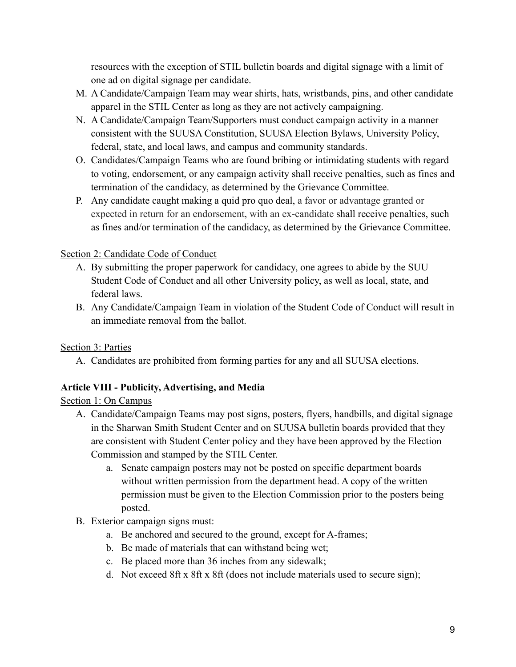resources with the exception of STIL bulletin boards and digital signage with a limit of one ad on digital signage per candidate.

- M. A Candidate/Campaign Team may wear shirts, hats, wristbands, pins, and other candidate apparel in the STIL Center as long as they are not actively campaigning.
- N. A Candidate/Campaign Team/Supporters must conduct campaign activity in a manner consistent with the SUUSA Constitution, SUUSA Election Bylaws, University Policy, federal, state, and local laws, and campus and community standards.
- O. Candidates/Campaign Teams who are found bribing or intimidating students with regard to voting, endorsement, or any campaign activity shall receive penalties, such as fines and termination of the candidacy, as determined by the Grievance Committee.
- P. Any candidate caught making a quid pro quo deal, a favor or advantage granted or expected in return for an endorsement, with an ex-candidate shall receive penalties, such as fines and/or termination of the candidacy, as determined by the Grievance Committee.

## Section 2: Candidate Code of Conduct

- A. By submitting the proper paperwork for candidacy, one agrees to abide by the SUU Student Code of Conduct and all other University policy, as well as local, state, and federal laws.
- B. Any Candidate/Campaign Team in violation of the Student Code of Conduct will result in an immediate removal from the ballot.

# Section 3: Parties

A. Candidates are prohibited from forming parties for any and all SUUSA elections.

# **Article VIII - Publicity, Advertising, and Media**

# Section 1: On Campus

- A. Candidate/Campaign Teams may post signs, posters, flyers, handbills, and digital signage in the Sharwan Smith Student Center and on SUUSA bulletin boards provided that they are consistent with Student Center policy and they have been approved by the Election Commission and stamped by the STIL Center.
	- a. Senate campaign posters may not be posted on specific department boards without written permission from the department head. A copy of the written permission must be given to the Election Commission prior to the posters being posted.
- B. Exterior campaign signs must:
	- a. Be anchored and secured to the ground, except for A-frames;
	- b. Be made of materials that can withstand being wet;
	- c. Be placed more than 36 inches from any sidewalk;
	- d. Not exceed 8ft x 8ft x 8ft (does not include materials used to secure sign);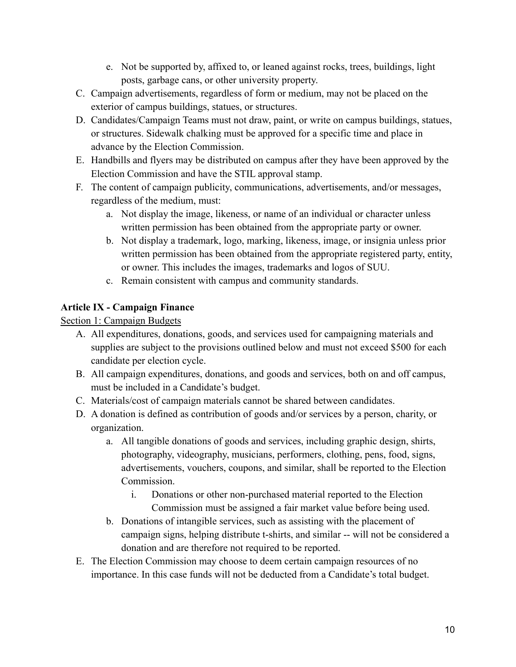- e. Not be supported by, affixed to, or leaned against rocks, trees, buildings, light posts, garbage cans, or other university property.
- C. Campaign advertisements, regardless of form or medium, may not be placed on the exterior of campus buildings, statues, or structures.
- D. Candidates/Campaign Teams must not draw, paint, or write on campus buildings, statues, or structures. Sidewalk chalking must be approved for a specific time and place in advance by the Election Commission.
- E. Handbills and flyers may be distributed on campus after they have been approved by the Election Commission and have the STIL approval stamp.
- F. The content of campaign publicity, communications, advertisements, and/or messages, regardless of the medium, must:
	- a. Not display the image, likeness, or name of an individual or character unless written permission has been obtained from the appropriate party or owner.
	- b. Not display a trademark, logo, marking, likeness, image, or insignia unless prior written permission has been obtained from the appropriate registered party, entity, or owner. This includes the images, trademarks and logos of SUU.
	- c. Remain consistent with campus and community standards.

# **Article IX - Campaign Finance**

Section 1: Campaign Budgets

- A. All expenditures, donations, goods, and services used for campaigning materials and supplies are subject to the provisions outlined below and must not exceed \$500 for each candidate per election cycle.
- B. All campaign expenditures, donations, and goods and services, both on and off campus, must be included in a Candidate's budget.
- C. Materials/cost of campaign materials cannot be shared between candidates.
- D. A donation is defined as contribution of goods and/or services by a person, charity, or organization.
	- a. All tangible donations of goods and services, including graphic design, shirts, photography, videography, musicians, performers, clothing, pens, food, signs, advertisements, vouchers, coupons, and similar, shall be reported to the Election Commission.
		- i. Donations or other non-purchased material reported to the Election Commission must be assigned a fair market value before being used.
	- b. Donations of intangible services, such as assisting with the placement of campaign signs, helping distribute t-shirts, and similar -- will not be considered a donation and are therefore not required to be reported.
- E. The Election Commission may choose to deem certain campaign resources of no importance. In this case funds will not be deducted from a Candidate's total budget.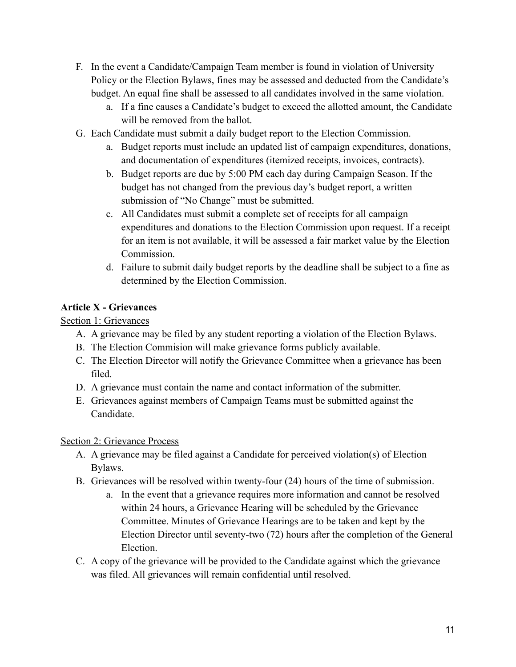- F. In the event a Candidate/Campaign Team member is found in violation of University Policy or the Election Bylaws, fines may be assessed and deducted from the Candidate's budget. An equal fine shall be assessed to all candidates involved in the same violation.
	- a. If a fine causes a Candidate's budget to exceed the allotted amount, the Candidate will be removed from the ballot.
- G. Each Candidate must submit a daily budget report to the Election Commission.
	- a. Budget reports must include an updated list of campaign expenditures, donations, and documentation of expenditures (itemized receipts, invoices, contracts).
	- b. Budget reports are due by 5:00 PM each day during Campaign Season. If the budget has not changed from the previous day's budget report, a written submission of "No Change" must be submitted.
	- c. All Candidates must submit a complete set of receipts for all campaign expenditures and donations to the Election Commission upon request. If a receipt for an item is not available, it will be assessed a fair market value by the Election **Commission**
	- d. Failure to submit daily budget reports by the deadline shall be subject to a fine as determined by the Election Commission.

# **Article X - Grievances**

Section 1: Grievances

- A. A grievance may be filed by any student reporting a violation of the Election Bylaws.
- B. The Election Commision will make grievance forms publicly available.
- C. The Election Director will notify the Grievance Committee when a grievance has been filed.
- D. A grievance must contain the name and contact information of the submitter.
- E. Grievances against members of Campaign Teams must be submitted against the Candidate.

# Section 2: Grievance Process

- A. A grievance may be filed against a Candidate for perceived violation(s) of Election Bylaws.
- B. Grievances will be resolved within twenty-four (24) hours of the time of submission.
	- a. In the event that a grievance requires more information and cannot be resolved within 24 hours, a Grievance Hearing will be scheduled by the Grievance Committee. Minutes of Grievance Hearings are to be taken and kept by the Election Director until seventy-two (72) hours after the completion of the General Election.
- C. A copy of the grievance will be provided to the Candidate against which the grievance was filed. All grievances will remain confidential until resolved.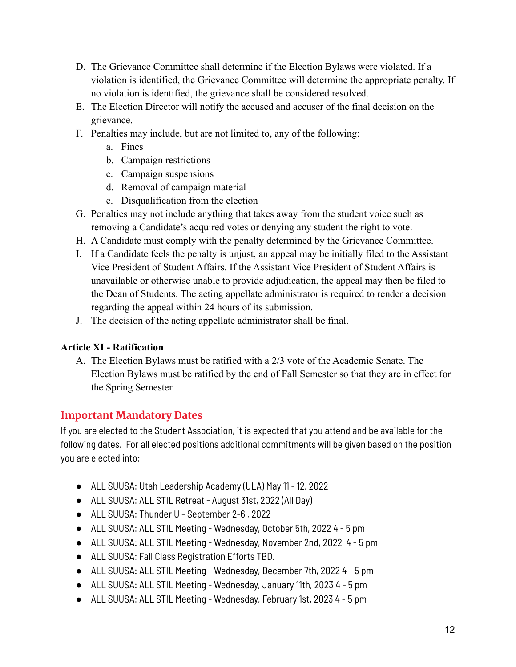- D. The Grievance Committee shall determine if the Election Bylaws were violated. If a violation is identified, the Grievance Committee will determine the appropriate penalty. If no violation is identified, the grievance shall be considered resolved.
- E. The Election Director will notify the accused and accuser of the final decision on the grievance.
- F. Penalties may include, but are not limited to, any of the following:
	- a. Fines
	- b. Campaign restrictions
	- c. Campaign suspensions
	- d. Removal of campaign material
	- e. Disqualification from the election
- G. Penalties may not include anything that takes away from the student voice such as removing a Candidate's acquired votes or denying any student the right to vote.
- H. A Candidate must comply with the penalty determined by the Grievance Committee.
- I. If a Candidate feels the penalty is unjust, an appeal may be initially filed to the Assistant Vice President of Student Affairs. If the Assistant Vice President of Student Affairs is unavailable or otherwise unable to provide adjudication, the appeal may then be filed to the Dean of Students. The acting appellate administrator is required to render a decision regarding the appeal within 24 hours of its submission.
- J. The decision of the acting appellate administrator shall be final.

## **Article XI - Ratification**

A. The Election Bylaws must be ratified with a 2/3 vote of the Academic Senate. The Election Bylaws must be ratified by the end of Fall Semester so that they are in effect for the Spring Semester.

# **Important Mandatory Dates**

If you are elected to the Student Association, it is expected that you attend and be available for the following dates. For all elected positions additional commitments will be given based on the position you are elected into:

- ALL SUUSA: Utah Leadership Academy (ULA) May 11 12, 2022
- ALL SUUSA: ALL STIL Retreat August 31st, 2022 (All Day)
- ALL SUUSA: Thunder U September 2-6, 2022
- ALL SUUSA: ALL STIL Meeting Wednesday, October 5th, 2022 4 5 pm
- ALL SUUSA: ALL STIL Meeting Wednesday, November 2nd, 2022 4 5 pm
- ALL SUUSA: Fall Class Registration Efforts TBD.
- ALL SUUSA: ALL STIL Meeting Wednesday, December 7th, 2022 4 5 pm
- ALL SUUSA: ALL STIL Meeting Wednesday, January 11th, 2023 4 5 pm
- ALL SUUSA: ALL STIL Meeting Wednesday, February 1st, 2023 4 5 pm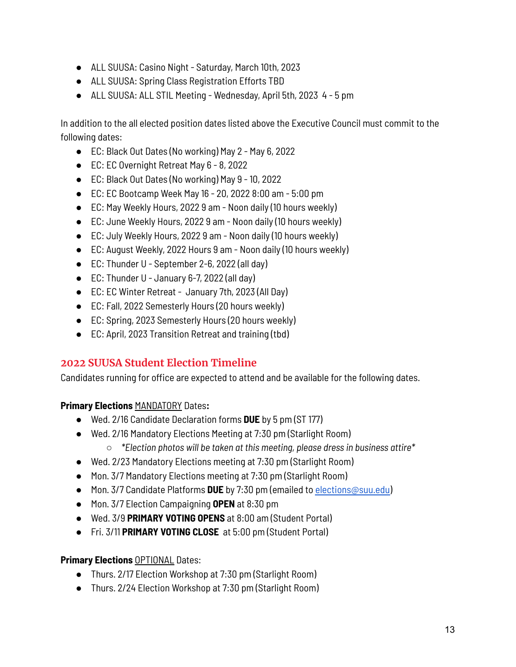- ALL SUUSA: Casino Night Saturday, March 10th, 2023
- ALL SUUSA: Spring Class Registration Efforts TBD
- ALL SUUSA: ALL STIL Meeting Wednesday, April 5th, 2023 4 5 pm

In addition to the all elected position dates listed above the Executive Council must commit to the following dates:

- EC: Black Out Dates (No working) May 2 May 6, 2022
- EC: EC Overnight Retreat May 6 8, 2022
- EC: Black Out Dates (No working) May 9 10, 2022
- EC: EC Bootcamp Week May 16 20, 2022 8:00 am 5:00 pm
- EC: May Weekly Hours, 2022 9 am Noon daily (10 hours weekly)
- EC: June Weekly Hours, 2022 9 am Noon daily (10 hours weekly)
- EC: July Weekly Hours, 2022 9 am Noon daily (10 hours weekly)
- EC: August Weekly, 2022 Hours 9 am Noon daily (10 hours weekly)
- EC: Thunder U September 2-6, 2022 (all day)
- EC: Thunder U January 6-7, 2022 (all day)
- EC: EC Winter Retreat January 7th, 2023 (All Day)
- EC: Fall, 2022 Semesterly Hours (20 hours weekly)
- EC: Spring, 2023 Semesterly Hours (20 hours weekly)
- EC: April, 2023 Transition Retreat and training (tbd)

# **2022 SUUSA Student Election Timeline**

Candidates running for office are expected to attend and be available for the following dates.

**Primary Elections** MANDATORY Dates**:**

- Wed. 2/16 Candidate Declaration forms **DUE** by 5 pm (ST 177)
- Wed. 2/16 Mandatory Elections Meeting at 7:30 pm (Starlight Room) ○ *\*Election photos will be taken at this meeting, please dress in business attire\**
- Wed. 2/23 Mandatory Elections meeting at 7:30 pm (Starlight Room)
- Mon. 3/7 Mandatory Elections meeting at 7:30 pm (Starlight Room)
- Mon. 3/7 Candidate Platforms **DUE** by 7:30 pm (emailed to [elections@suu.edu\)](mailto:elections@suu.edu)
- Mon. 3/7 Election Campaigning **OPEN** at 8:30 pm
- Wed. 3/9 **PRIMARY VOTING OPENS** at 8:00 am (Student Portal)
- Fri. 3/11 **PRIMARY VOTING CLOSE** at 5:00 pm (Student Portal)

## **Primary Elections OPTIONAL** Dates:

- Thurs. 2/17 Election Workshop at 7:30 pm (Starlight Room)
- Thurs. 2/24 Election Workshop at 7:30 pm (Starlight Room)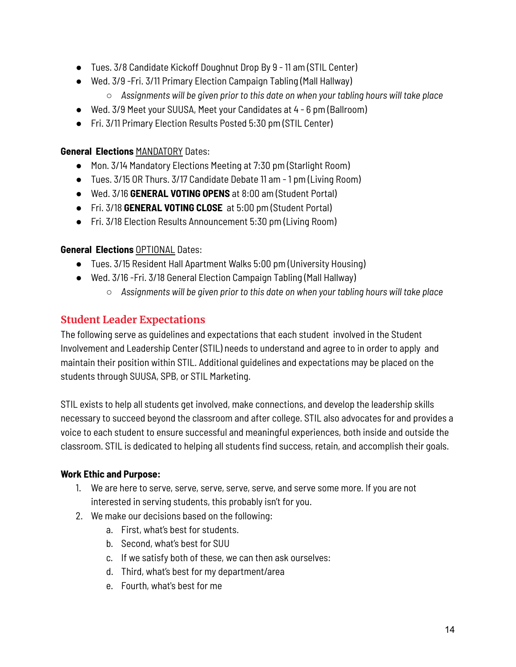- Tues. 3/8 Candidate Kickoff Doughnut Drop By 9 11 am (STIL Center)
- Wed. 3/9 -Fri. 3/11 Primary Election Campaign Tabling (Mall Hallway)
	- *Assignments will be given prior to this date on when your tabling hours will take place*
- Wed. 3/9 Meet your SUUSA, Meet your Candidates at 4 6 pm (Ballroom)
- Fri. 3/11 Primary Election Results Posted 5:30 pm (STIL Center)

#### **General Elections** MANDATORY Dates:

- Mon. 3/14 Mandatory Elections Meeting at 7:30 pm (Starlight Room)
- Tues. 3/15 OR Thurs. 3/17 Candidate Debate 11 am 1 pm (Living Room)
- Wed. 3/16 **GENERAL VOTING OPENS** at 8:00 am (Student Portal)
- Fri. 3/18 **GENERAL VOTING CLOSE** at 5:00 pm (Student Portal)
- Fri. 3/18 Election Results Announcement 5:30 pm (Living Room)

## **General Elections** OPTIONAL Dates:

- Tues. 3/15 Resident Hall Apartment Walks 5:00 pm (University Housing)
- Wed. 3/16 Fri. 3/18 General Election Campaign Tabling (Mall Hallway)
	- *Assignments will be given prior to this date on when your tabling hours will take place*

# **Student Leader Expectations**

The following serve as guidelines and expectations that each student involved in the Student Involvement and Leadership Center (STIL) needs to understand and agree to in order to apply and maintain their position within STIL. Additional guidelines and expectations may be placed on the students through SUUSA, SPB, or STIL Marketing.

STIL exists to help all students get involved, make connections, and develop the leadership skills necessary to succeed beyond the classroom and after college. STIL also advocates for and provides a voice to each student to ensure successful and meaningful experiences, both inside and outside the classroom. STIL is dedicated to helping all students find success, retain, and accomplish their goals.

## **Work Ethic and Purpose:**

- 1. We are here to serve, serve, serve, serve, serve, and serve some more. If you are not interested in serving students, this probably isn't for you.
- 2. We make our decisions based on the following:
	- a. First, what's best for students.
	- b. Second, what's best for SUU
	- c. If we satisfy both of these, we can then ask ourselves:
	- d. Third, what's best for my department/area
	- e. Fourth, what's best for me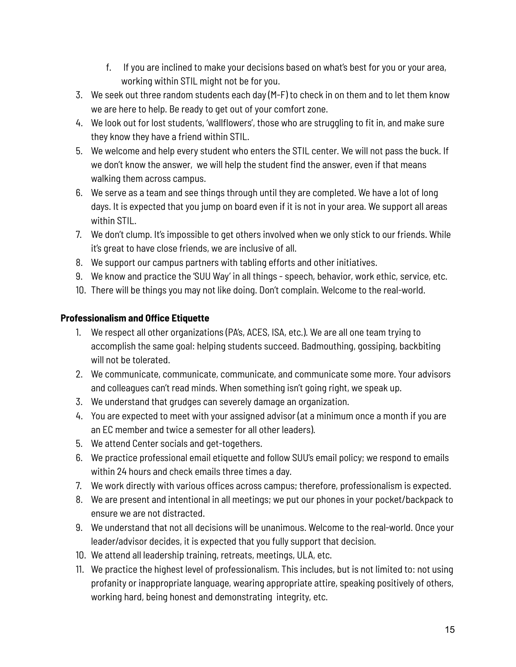- f. If you are inclined to make your decisions based on what's best for you or your area, working within STIL might not be for you.
- 3. We seek out three random students each day (M-F) to check in on them and to let them know we are here to help. Be ready to get out of your comfort zone.
- 4. We look out for lost students, 'wallflowers', those who are struggling to fit in, and make sure they know they have a friend within STIL.
- 5. We welcome and help every student who enters the STIL center. We will not pass the buck. If we don't know the answer, we will help the student find the answer, even if that means walking them across campus.
- 6. We serve as a team and see things through until they are completed. We have a lot of long days. It is expected that you jump on board even if it is not in your area. We support all areas within STIL.
- 7. We don't clump. It's impossible to get others involved when we only stick to our friends. While it's great to have close friends, we are inclusive of all.
- 8. We support our campus partners with tabling efforts and other initiatives.
- 9. We know and practice the 'SUU Way' in all things speech, behavior, work ethic, service, etc.
- 10. There will be things you may not like doing. Don't complain. Welcome to the real-world.

## **Professionalism and Office Etiquette**

- 1. We respect all other organizations (PA's, ACES, ISA, etc.). We are all one team trying to accomplish the same goal: helping students succeed. Badmouthing, gossiping, backbiting will not be tolerated.
- 2. We communicate, communicate, communicate, and communicate some more. Your advisors and colleagues can't read minds. When something isn't going right, we speak up.
- 3. We understand that grudges can severely damage an organization.
- 4. You are expected to meet with your assigned advisor (at a minimum once a month if you are an EC member and twice a semester for all other leaders).
- 5. We attend Center socials and get-togethers.
- 6. We practice professional email etiquette and follow SUU's email policy; we respond to emails within 24 hours and check emails three times a day.
- 7. We work directly with various offices across campus; therefore, professionalism is expected.
- 8. We are present and intentional in all meetings; we put our phones in your pocket/backpack to ensure we are not distracted.
- 9. We understand that not all decisions will be unanimous. Welcome to the real-world. Once your leader/advisor decides, it is expected that you fully support that decision.
- 10. We attend all leadership training, retreats, meetings, ULA, etc.
- 11. We practice the highest level of professionalism. This includes, but is not limited to: not using profanity or inappropriate language, wearing appropriate attire, speaking positively of others, working hard, being honest and demonstrating integrity, etc.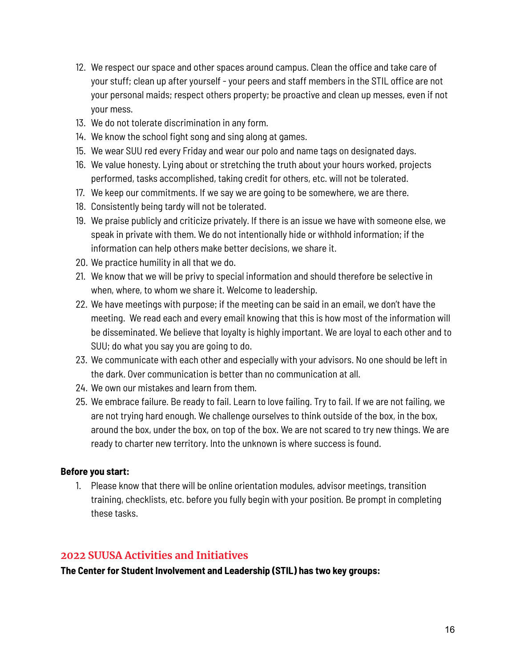- 12. We respect our space and other spaces around campus. Clean the office and take care of your stuff; clean up after yourself - your peers and staff members in the STIL office are not your personal maids; respect others property; be proactive and clean up messes, even if not your mess.
- 13. We do not tolerate discrimination in any form.
- 14. We know the school fight song and sing along at games.
- 15. We wear SUU red every Friday and wear our polo and name tags on designated days.
- 16. We value honesty. Lying about or stretching the truth about your hours worked, projects performed, tasks accomplished, taking credit for others, etc. will not be tolerated.
- 17. We keep our commitments. If we say we are going to be somewhere, we are there.
- 18. Consistently being tardy will not be tolerated.
- 19. We praise publicly and criticize privately. If there is an issue we have with someone else, we speak in private with them. We do not intentionally hide or withhold information; if the information can help others make better decisions, we share it.
- 20. We practice humility in all that we do.
- 21. We know that we will be privy to special information and should therefore be selective in when, where, to whom we share it. Welcome to leadership.
- 22. We have meetings with purpose; if the meeting can be said in an email, we don't have the meeting. We read each and every email knowing that this is how most of the information will be disseminated. We believe that loyalty is highly important. We are loyal to each other and to SUU; do what you say you are going to do.
- 23. We communicate with each other and especially with your advisors. No one should be left in the dark. Over communication is better than no communication at all.
- 24. We own our mistakes and learn from them.
- 25. We embrace failure. Be ready to fail. Learn to love failing. Try to fail. If we are not failing, we are not trying hard enough. We challenge ourselves to think outside of the box, in the box, around the box, under the box, on top of the box. We are not scared to try new things. We are ready to charter new territory. Into the unknown is where success is found.

#### **Before you start:**

1. Please know that there will be online orientation modules, advisor meetings, transition training, checklists, etc. before you fully begin with your position. Be prompt in completing these tasks.

## **2022 SUUSA Activities and Initiatives**

**The Center for Student Involvement and Leadership (STIL) has two key groups:**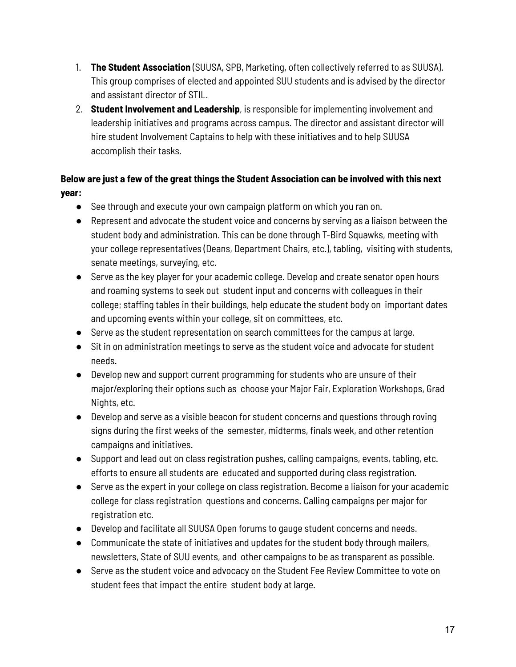- 1. **The Student Association** (SUUSA, SPB, Marketing, often collectively referred to as SUUSA). This group comprises of elected and appointed SUU students and is advised by the director and assistant director of STIL.
- 2. **Student Involvement and Leadership**, is responsible for implementing involvement and leadership initiatives and programs across campus. The director and assistant director will hire student Involvement Captains to help with these initiatives and to help SUUSA accomplish their tasks.

# **Below are just a few of the great things the Student Association can be involved with this next year:**

- See through and execute your own campaign platform on which you ran on.
- Represent and advocate the student voice and concerns by serving as a liaison between the student body and administration. This can be done through T-Bird Squawks, meeting with your college representatives (Deans, Department Chairs, etc.), tabling, visiting with students, senate meetings, surveying, etc.
- Serve as the key player for your academic college. Develop and create senator open hours and roaming systems to seek out student input and concerns with colleagues in their college; staffing tables in their buildings, help educate the student body on important dates and upcoming events within your college, sit on committees, etc.
- Serve as the student representation on search committees for the campus at large.
- Sit in on administration meetings to serve as the student voice and advocate for student needs.
- Develop new and support current programming for students who are unsure of their major/exploring their options such as choose your Major Fair, Exploration Workshops, Grad Nights, etc.
- Develop and serve as a visible beacon for student concerns and questions through roving signs during the first weeks of the semester, midterms, finals week, and other retention campaigns and initiatives.
- Support and lead out on class registration pushes, calling campaigns, events, tabling, etc. efforts to ensure all students are educated and supported during class registration.
- Serve as the expert in your college on class registration. Become a liaison for your academic college for class registration questions and concerns. Calling campaigns per major for registration etc.
- Develop and facilitate all SUUSA Open forums to gauge student concerns and needs.
- Communicate the state of initiatives and updates for the student body through mailers, newsletters, State of SUU events, and other campaigns to be as transparent as possible.
- Serve as the student voice and advocacy on the Student Fee Review Committee to vote on student fees that impact the entire student body at large.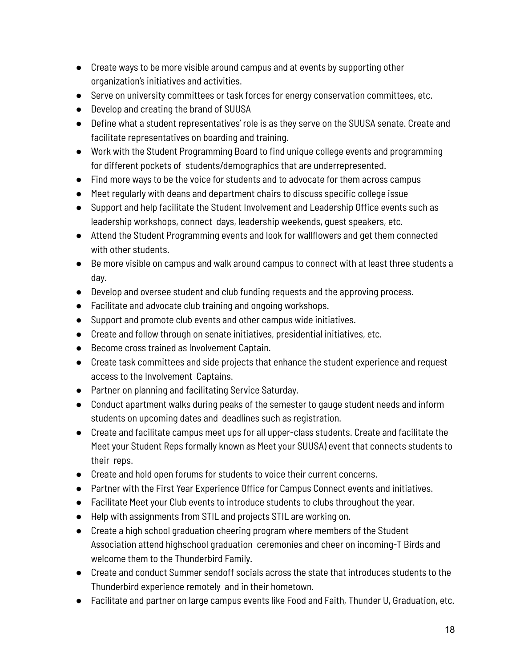- Create ways to be more visible around campus and at events by supporting other organization's initiatives and activities.
- Serve on university committees or task forces for energy conservation committees, etc.
- Develop and creating the brand of SUUSA
- Define what a student representatives' role is as they serve on the SUUSA senate. Create and facilitate representatives on boarding and training.
- Work with the Student Programming Board to find unique college events and programming for different pockets of students/demographics that are underrepresented.
- Find more ways to be the voice for students and to advocate for them across campus
- Meet regularly with deans and department chairs to discuss specific college issue
- Support and help facilitate the Student Involvement and Leadership Office events such as leadership workshops, connect days, leadership weekends, guest speakers, etc.
- Attend the Student Programming events and look for wallflowers and get them connected with other students.
- Be more visible on campus and walk around campus to connect with at least three students a day.
- Develop and oversee student and club funding requests and the approving process.
- Facilitate and advocate club training and ongoing workshops.
- Support and promote club events and other campus wide initiatives.
- Create and follow through on senate initiatives, presidential initiatives, etc.
- Become cross trained as Involvement Captain.
- Create task committees and side projects that enhance the student experience and request access to the Involvement Captains.
- Partner on planning and facilitating Service Saturday.
- Conduct apartment walks during peaks of the semester to gauge student needs and inform students on upcoming dates and deadlines such as registration.
- Create and facilitate campus meet ups for all upper-class students. Create and facilitate the Meet your Student Reps formally known as Meet your SUUSA) event that connects students to their reps.
- Create and hold open forums for students to voice their current concerns.
- Partner with the First Year Experience Office for Campus Connect events and initiatives.
- Facilitate Meet your Club events to introduce students to clubs throughout the year.
- Help with assignments from STIL and projects STIL are working on.
- Create a high school graduation cheering program where members of the Student Association attend highschool graduation ceremonies and cheer on incoming-T Birds and welcome them to the Thunderbird Family.
- Create and conduct Summer sendoff socials across the state that introduces students to the Thunderbird experience remotely and in their hometown.
- Facilitate and partner on large campus events like Food and Faith, Thunder U, Graduation, etc.